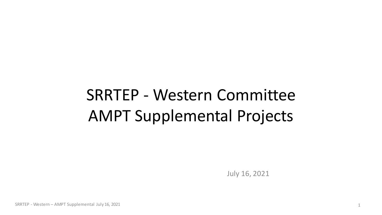# SRRTEP - Western Committee AMPT Supplemental Projects

July 16, 2021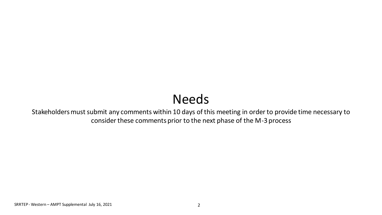## Needs

Stakeholders must submit any comments within 10 days of this meeting in order to provide time necessary to consider these comments prior to the next phase of the M-3 process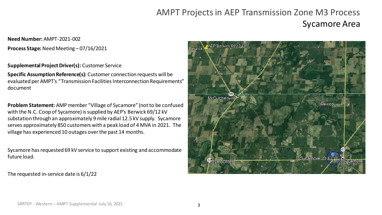### AMPT Projects in AEP Transmission Zone M3 Process Sycamore Area

#### **Need Number:** AMPT-2021-002 **Process Stage:** Need Meeting – 07/16/2021

#### **Supplemental Project Driver(s):** Customer Service

**Specific Assumption Reference(s):** Customer connection requests will be evaluated per AMPT's "Transmission Facilities Interconnection Requirements" document

**Problem Statement:** AMP member "Village of Sycamore" (not to be confused with the N.C. Coop of Sycamore) is supplied by AEP's Berwick 69/12 kV substation through an approximately 9 mile radial 12.5 kV supply. Sycamore serves approximately 850 customers with a peak load of 4 MVA in 2021. The village has experienced 10 outages over the past 14 months.

Sycamore has requested 69 kV service to support existing and accommodate future load.

The requested in-service date is 6/1/22

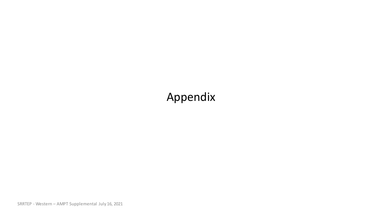## Appendix

SRRTEP - Western – AMPT Supplemental July 16, 2021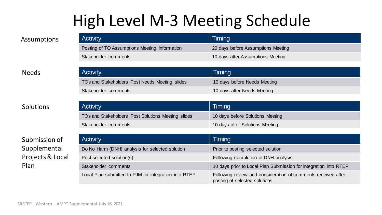## High Level M-3 Meeting Schedule

| <b>Activity</b>                               | Timing                             |
|-----------------------------------------------|------------------------------------|
| Posting of TO Assumptions Meeting information | 20 days before Assumptions Meeting |
| Stakeholder comments                          | 10 days after Assumptions Meeting  |

### Needs

### Solutions

### Submission of Supplemental Projects & Local Plan

| <b>Activity</b>                                | $\sqrt{}$ Timing $\sqrt{}$   |
|------------------------------------------------|------------------------------|
| TOs and Stakeholders Post Needs Meeting slides | 10 days before Needs Meeting |
| Stakeholder comments                           | 10 days after Needs Meeting  |
|                                                |                              |
| <b>Activity</b>                                | Timing                       |

| TOs and Stakeholders Post Solutions Meeting slides | 10 days before Solutions Meeting |
|----------------------------------------------------|----------------------------------|
| Stakeholder comments                               | 10 days after Solutions Meeting  |

| <b>Activity</b>                                       | Timing                                                                                         |
|-------------------------------------------------------|------------------------------------------------------------------------------------------------|
| Do No Harm (DNH) analysis for selected solution       | Prior to posting selected solution                                                             |
| Post selected solution(s)                             | Following completion of DNH analysis                                                           |
| Stakeholder comments                                  | 10 days prior to Local Plan Submission for integration into RTEP                               |
| Local Plan submitted to PJM for integration into RTEP | Following review and consideration of comments received after<br>posting of selected solutions |